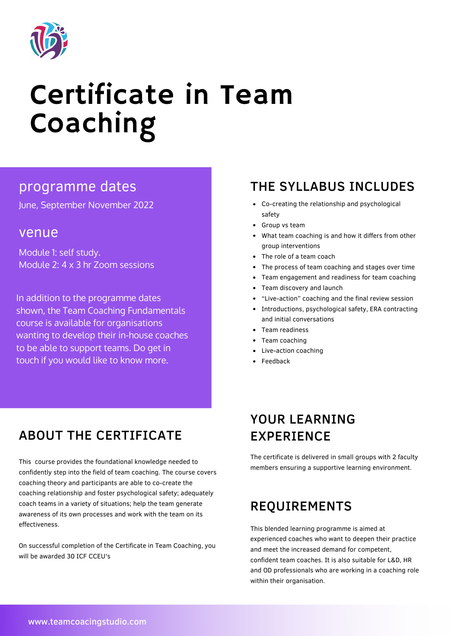

# Certificate in Team Coaching

June, September November 2022

#### venue

Module 1: self study. Module 2: 4 x 3 hr Zoom sessions

In addition to the programme dates shown, the Team Coaching Fundamentals course is available for organisations wanting to develop their in-house coaches to be able to support teams. Do get in touch if you would like to know more.

# ABOUT THE CERTIFICATE

This course provides the foundational knowledge needed to confidently step into the field of team coaching. The course covers coaching theory and participants are able to co-create the coaching relationship and foster psychological safety; adequately coach teams in a variety of situations; help the team generate awareness of its own processes and work with the team on its effectiveness.

On successful completion of the Certificate in Team Coaching, you will be awarded 30 ICF CCEU's

#### programme dates THE SYLLABUS INCLUDES

- Co-creating the relationship and psychological safety
- Group vs team
- What team coaching is and how it differs from other group interventions
- The role of a team coach
- The process of team coaching and stages over time
- Team engagement and readiness for team coaching
- Team discovery and launch
- "Live-action" coaching and the final review session
- Introductions, psychological safety, ERA contracting and initial conversations
- Team readiness
- Team coaching
- Live-action coaching
- Feedback

# YOUR LEARNING EXPERIENCE

The certificate is delivered in small groups with 2 faculty members ensuring a supportive learning environment.

# REQUIREMENTS

This blended learning programme is aimed at experienced coaches who want to deepen their practice and meet the increased demand for competent, confident team coaches. It is also suitable for L&D, HR and OD professionals who are working in a coaching role within their organisation.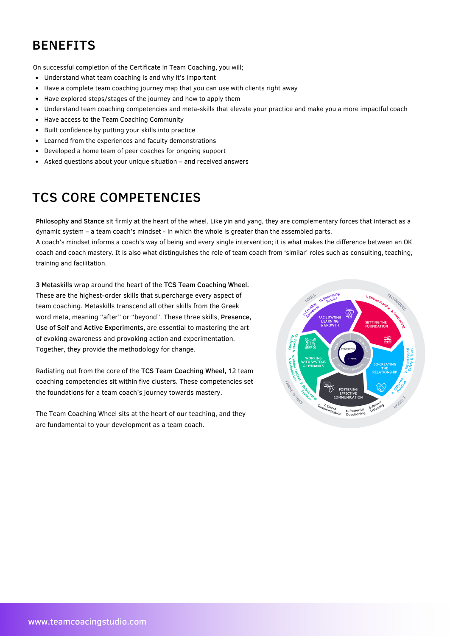# BENEFITS

On successful completion of the Certificate in Team Coaching, you will;

- Understand what team coaching is and why it's important  $\bullet$
- Have a complete team coaching journey map that you can use with clients right away  $\bullet$
- Have explored steps/stages of the journey and how to apply them  $\bullet$
- Understand team coaching competencies and meta-skills that elevate your practice and make you a more impactful coach  $\bullet$
- Have access to the Team Coaching Community  $\bullet$
- Built confidence by putting your skills into practice  $\bullet$
- Learned from the experiences and faculty demonstrations
- Developed a home team of peer coaches for ongoing support
- Asked questions about your unique situation and received answers

# TCS CORE COMPETENCIES

Philosophy and Stance sit firmly at the heart of the wheel. Like yin and yang, they are complementary forces that interact as a dynamic system – a team coach's mindset - in which the whole is greater than the assembled parts.

A coach's mindset informs a coach's way of being and every single intervention; it is what makes the difference between an OK coach and coach mastery. It is also what distinguishes the role of team coach from 'similar' roles such as consulting, teaching, training and facilitation.

3 Metaskills wrap around the heart of the TCS Team Coaching Wheel. These are the highest-order skills that supercharge every aspect of team coaching. Metaskills transcend all other skills from the Greek word meta, meaning "after" or "beyond". These three skills, Presence, Use of Self and Active Experiments, are essential to mastering the art of evoking awareness and provoking action and experimentation. Together, they provide the methodology for change.

Radiating out from the core of the TCS Team Coaching Wheel, 12 team coaching competencies sit within five clusters. These competencies set the foundations for a team coach's journey towards mastery.

The Team Coaching Wheel sits at the heart of our teaching, and they are fundamental to your development as a team coach.